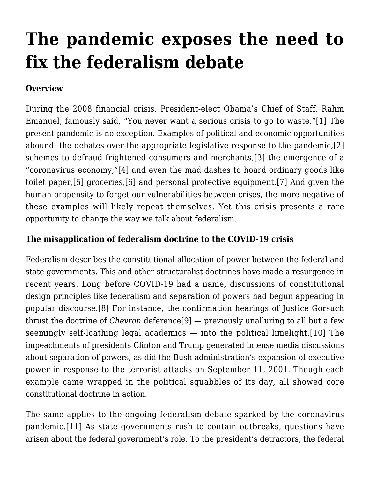# **[The pandemic exposes the need to](https://scocablog.com/the-pandemic-exposes-the-need-to-fix-the-federalism-debate/) [fix the federalism debate](https://scocablog.com/the-pandemic-exposes-the-need-to-fix-the-federalism-debate/)**

## **Overview**

During the 2008 financial crisis, President-elect Obama's Chief of Staff, Rahm Emanuel, famously said, "You never want a serious crisis to go to waste."[\[1\]](#page--1-0) The present pandemic is no exception. Examples of political and economic opportunities abound: the debates over the appropriate legislative response to the pandemic,[\[2\]](#page--1-0) schemes to defraud frightened consumers and merchants,[\[3\]](#page--1-0) the emergence of a "coronavirus economy,"[\[4\]](#page--1-0) and even the mad dashes to hoard ordinary goods like toilet paper,[\[5\]](#page--1-0) groceries,[\[6\]](#page--1-0) and personal protective equipment.[\[7\]](#page--1-0) And given the human propensity to forget our vulnerabilities between crises, the more negative of these examples will likely repeat themselves. Yet this crisis presents a rare opportunity to change the way we talk about federalism.

### **The misapplication of federalism doctrine to the COVID-19 crisis**

Federalism describes the constitutional allocation of power between the federal and state governments. This and other structuralist doctrines have made a resurgence in recent years. Long before COVID-19 had a name, discussions of constitutional design principles like federalism and separation of powers had begun appearing in popular discourse.[\[8\]](#page--1-0) For instance, the confirmation hearings of Justice Gorsuch thrust the doctrine of *Chevron* deference[\[9\]](#page--1-0) — previously unalluring to all but a few seemingly self-loathing legal academics — into the political limelight.[\[10\]](#page--1-0) The impeachments of presidents Clinton and Trump generated intense media discussions about separation of powers, as did the Bush administration's expansion of executive power in response to the terrorist attacks on September 11, 2001. Though each example came wrapped in the political squabbles of its day, all showed core constitutional doctrine in action.

The same applies to the ongoing federalism debate sparked by the coronavirus pandemic.[\[11\]](#page--1-0) As state governments rush to contain outbreaks, questions have arisen about the federal government's role. To the president's detractors, the federal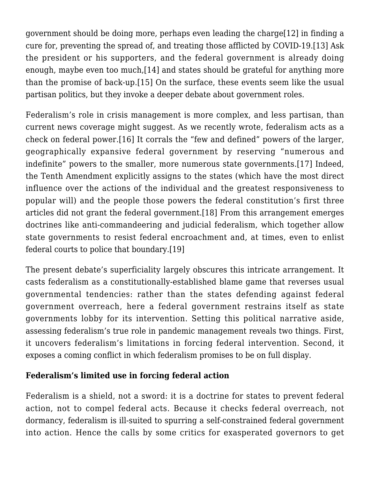government should be doing more, perhaps even leading the charg[e\[12\]](#page--1-0) in finding a cure for, preventing the spread of, and treating those afflicted by COVID-19[.\[13\]](#page--1-0) Ask the president or his supporters, and the federal government is already doing enough, maybe even too much[,\[14\]](#page--1-0) and states should be grateful for anything more than the promise of back-up[.\[15\]](#page--1-0) On the surface, these events seem like the usual partisan politics, but they invoke a deeper debate about government roles.

Federalism's role in crisis management is more complex, and less partisan, than current news coverage might suggest. As we recently wrote, federalism acts as a check on federal power.[\[16\]](#page--1-0) It corrals the "few and defined" powers of the larger, geographically expansive federal government by reserving "numerous and indefinite" powers to the smaller, more numerous state governments[.\[17\]](#page--1-0) Indeed, the Tenth Amendment explicitly assigns to the states (which have the most direct influence over the actions of the individual and the greatest responsiveness to popular will) and the people those powers the federal constitution's first three articles did not grant the federal government[.\[18\]](#page--1-0) From this arrangement emerges doctrines like anti-commandeering and judicial federalism, which together allow state governments to resist federal encroachment and, at times, even to enlist federal courts to police that boundary[.\[19\]](#page--1-0)

The present debate's superficiality largely obscures this intricate arrangement. It casts federalism as a constitutionally-established blame game that reverses usual governmental tendencies: rather than the states defending against federal government overreach, here a federal government restrains itself as state governments lobby for its intervention. Setting this political narrative aside, assessing federalism's true role in pandemic management reveals two things. First, it uncovers federalism's limitations in forcing federal intervention. Second, it exposes a coming conflict in which federalism promises to be on full display.

### **Federalism's limited use in forcing federal action**

Federalism is a shield, not a sword: it is a doctrine for states to prevent federal action, not to compel federal acts. Because it checks federal overreach, not dormancy, federalism is ill-suited to spurring a self-constrained federal government into action. Hence the calls by some critics for exasperated governors to get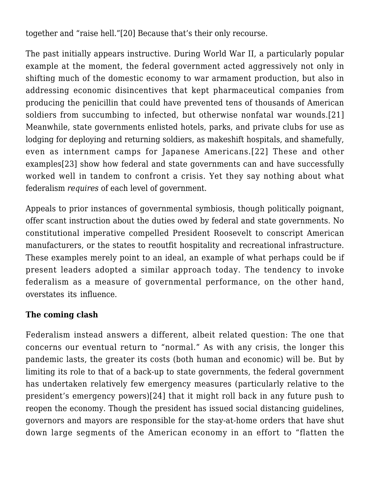together and "raise hell.["\[20\]](#page--1-0) Because that's their only recourse.

The past initially appears instructive. During World War II, a particularly popular example at the moment, the federal government acted aggressively not only in shifting much of the domestic economy to war armament production, but also in addressing economic disincentives that kept pharmaceutical companies from producing the penicillin that could have prevented tens of thousands of American soldiers from succumbing to infected, but otherwise nonfatal war wounds.[\[21\]](#page--1-0) Meanwhile, state governments enlisted hotels, parks, and private clubs for use as lodging for deploying and returning soldiers, as makeshift hospitals, and shamefully, even as internment camps for Japanese Americans.[\[22\]](#page--1-0) These and other examples[\[23\]](#page--1-0) show how federal and state governments can and have successfully worked well in tandem to confront a crisis. Yet they say nothing about what federalism *requires* of each level of government.

Appeals to prior instances of governmental symbiosis, though politically poignant, offer scant instruction about the duties owed by federal and state governments. No constitutional imperative compelled President Roosevelt to conscript American manufacturers, or the states to reoutfit hospitality and recreational infrastructure. These examples merely point to an ideal, an example of what perhaps could be if present leaders adopted a similar approach today. The tendency to invoke federalism as a measure of governmental performance, on the other hand, overstates its influence.

### **The coming clash**

Federalism instead answers a different, albeit related question: The one that concerns our eventual return to "normal." As with any crisis, the longer this pandemic lasts, the greater its costs (both human and economic) will be. But by limiting its role to that of a back-up to state governments, the federal government has undertaken relatively few emergency measures (particularly relative to the president's emergency powers)[\[24\]](#page--1-0) that it might roll back in any future push to reopen the economy. Though the president has issued social distancing guidelines, governors and mayors are responsible for the stay-at-home orders that have shut down large segments of the American economy in an effort to "flatten the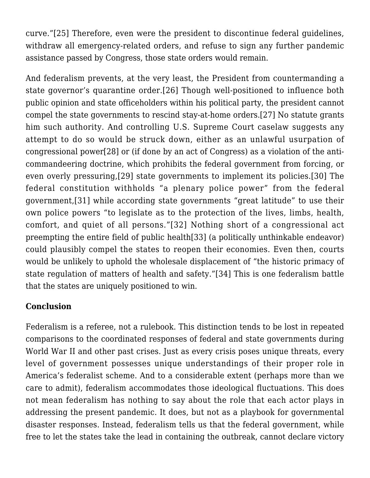curve."[\[25\]](#page--1-0) Therefore, even were the president to discontinue federal guidelines, withdraw all emergency-related orders, and refuse to sign any further pandemic assistance passed by Congress, those state orders would remain.

And federalism prevents, at the very least, the President from countermanding a state governor's quarantine order.[\[26\]](#page--1-0) Though well-positioned to influence both public opinion and state officeholders within his political party, the president cannot compel the state governments to rescind stay-at-home orders[.\[27\]](#page--1-0) No statute grants him such authority. And controlling U.S. Supreme Court caselaw suggests any attempt to do so would be struck down, either as an unlawful usurpation of congressional power[\[28\]](#page--1-0) or (if done by an act of Congress) as a violation of the anticommandeering doctrine, which prohibits the federal government from forcing, or even overly pressuring,[\[29\]](#page--1-0) state governments to implement its policies.[\[30\]](#page--1-0) The federal constitution withholds "a plenary police power" from the federal government,[\[31\]](#page--1-0) while according state governments "great latitude" to use their own police powers "to legislate as to the protection of the lives, limbs, health, comfort, and quiet of all persons."[\[32\]](#page--1-0) Nothing short of a congressional act preempting the entire field of public healt[h\[33\]](#page--1-0) (a politically unthinkable endeavor) could plausibly compel the states to reopen their economies. Even then, courts would be unlikely to uphold the wholesale displacement of "the historic primacy of state regulation of matters of health and safety."[\[34\]](#page--1-0) This is one federalism battle that the states are uniquely positioned to win.

### **Conclusion**

Federalism is a referee, not a rulebook. This distinction tends to be lost in repeated comparisons to the coordinated responses of federal and state governments during World War II and other past crises. Just as every crisis poses unique threats, every level of government possesses unique understandings of their proper role in America's federalist scheme. And to a considerable extent (perhaps more than we care to admit), federalism accommodates those ideological fluctuations. This does not mean federalism has nothing to say about the role that each actor plays in addressing the present pandemic. It does, but not as a playbook for governmental disaster responses. Instead, federalism tells us that the federal government, while free to let the states take the lead in containing the outbreak, cannot declare victory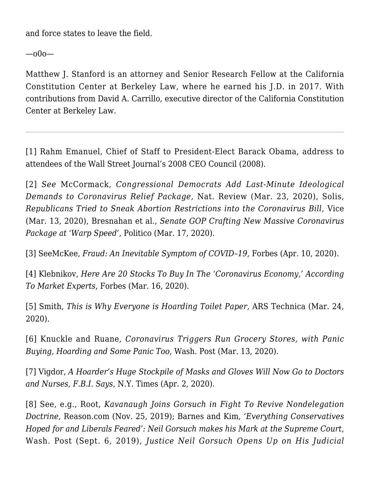and force states to leave the field.

—o0o—

Matthew J. Stanford is an attorney and Senior Research Fellow at the California Constitution Center at Berkeley Law, where he earned his J.D. in 2017. With contributions from David A. Carrillo, executive director of the California Constitution Center at Berkeley Law.

[\[1\]](#page--1-0) Rahm Emanuel, Chief of Staff to President-Elect Barack Obama, [address to](https://www.youtube.com/watch?v=Pb-YuhFWCr4.) [attendees of the Wall Street Journal's 2008 CEO Council](https://www.youtube.com/watch?v=Pb-YuhFWCr4.) (2008).

[\[2\]](#page--1-0) *See* McCormack, *[Congressional Democrats Add Last-Minute Ideological](https://www.nationalreview.com/corner/congressional-democrats-add-last-minute-ideological-demands-to-coronavirus-relief-package/) [Demands to Coronavirus Relief Package](https://www.nationalreview.com/corner/congressional-democrats-add-last-minute-ideological-demands-to-coronavirus-relief-package/),* Nat. Review (Mar. 23, 2020), Solis, *[Republicans Tried to Sneak Abortion Restrictions into the Coronavirus Bill,](https://www.vice.com/en_us/article/4ag55g/republicans-coronavirus-emergency-legislation-abortion-restrictions)* Vice (Mar. 13, 2020), Bresnahan et al., *[Senate GOP Crafting New Massive Coronavirus](https://www.politico.com/news/2020/03/17/white-house-senate-republicans-coronavirus-aid-133732) [Package at 'Warp Speed'](https://www.politico.com/news/2020/03/17/white-house-senate-republicans-coronavirus-aid-133732)*, Politico (Mar. 17, 2020).

[\[3\]](#page--1-0) SeeMcKee, *[Fraud: An Inevitable Symptom of COVID–19](https://www.forbes.com/sites/jordanmckee/2020/04/10/fraud-an-inevitable-symptom-of-covid-19/#532142a97582),* Forbes (Apr. 10, 2020).

[\[4\]](#page--1-0) Klebnikov, *[Here Are 20 Stocks To Buy In The 'Coronavirus Economy,' According](https://www.forbes.com/sites/sergeiklebnikov/2020/03/16/here-are-20-stocks-to-buy-in-the-coronavirus-economy-according-to-market-experts/#5e0e40fb6176) [To Market Experts](https://www.forbes.com/sites/sergeiklebnikov/2020/03/16/here-are-20-stocks-to-buy-in-the-coronavirus-economy-according-to-market-experts/#5e0e40fb6176)*, Forbes (Mar. 16, 2020).

[\[5\]](#page--1-0) Smith, *[This is Why Everyone is Hoarding Toilet Paper](https://arstechnica.com/science/2020/03/this-is-why-everyone-is-hoarding-toilet-paper/),* ARS Technica (Mar. 24, 2020).

[\[6\]](#page--1-0) Knuckle and Ruane, *[Coronavirus Triggers Run Grocery Stores, with Panic](https://www.washingtonpost.com/dc-md-va/2020/03/13/coronavirus-triggers-run-grocery-stores-with-panic-buying-hoarding-some-fighting-too/) [Buying, Hoarding and Some Panic Too](https://www.washingtonpost.com/dc-md-va/2020/03/13/coronavirus-triggers-run-grocery-stores-with-panic-buying-hoarding-some-fighting-too/)*, Wash. Post (Mar. 13, 2020).

[\[7\]](#page--1-0) Vigdor, *[A Hoarder's Huge Stockpile of Masks and Gloves Will Now Go to Doctors](https://www.nytimes.com/2020/04/02/nyregion/brooklyn-coronavirus-price-gouging.html) [and Nurses, F.B.I. Says](https://www.nytimes.com/2020/04/02/nyregion/brooklyn-coronavirus-price-gouging.html)*, N.Y. Times (Apr. 2, 2020).

[\[8\]](#page--1-0) See, e.g., Root, *[Kavanaugh Joins Gorsuch in Fight To Revive Nondelegation](https://reason.com/2019/11/25/kavanaugh-joins-gorsuch-in-fight-to-revive-nondelegation-doctrine/) [Doctrine](https://reason.com/2019/11/25/kavanaugh-joins-gorsuch-in-fight-to-revive-nondelegation-doctrine/)*, Reason.com (Nov. 25, 2019); Barnes and Kim, *['Everything Conservatives](https://www.washingtonpost.com/politics/courts_law/everything-conservatives-hoped-for-and-liberals-feared-neil-gorsuch-makes-his-mark-at-the-supreme-court/2019/09/06/c7b98f90-cfee-11e9-8c1c-7c8ee785b855_story.html) [Hoped for and Liberals Feared': Neil Gorsuch makes his Mark at the Supreme Court](https://www.washingtonpost.com/politics/courts_law/everything-conservatives-hoped-for-and-liberals-feared-neil-gorsuch-makes-his-mark-at-the-supreme-court/2019/09/06/c7b98f90-cfee-11e9-8c1c-7c8ee785b855_story.html)*, Wash. Post (Sept. 6, 2019), *[Justice Neil Gorsuch Opens Up on His Judicial](file:///Users/leighabeckman/Library/Containers/com.microsoft.Word/Data/Downloads/Justice%20Neil%20Gorsuch%20Opens%20Up%20on%20His%20Judicial%20Philosophy%20on%20)*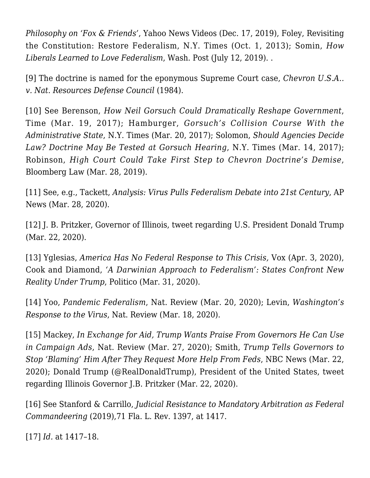*[Philosophy on 'Fox & Friends'](file:///Users/leighabeckman/Library/Containers/com.microsoft.Word/Data/Downloads/Justice%20Neil%20Gorsuch%20Opens%20Up%20on%20His%20Judicial%20Philosophy%20on%20)*, Yahoo News Videos (Dec. 17, 2019), Foley, [Revisiting](https://www.nytimes.com/roomfordebate/2012/07/08/another-stab-at-the-us-constitution/revisiting-the-constitution-restore-federalism) [the Constitution: Restore Federalism](https://www.nytimes.com/roomfordebate/2012/07/08/another-stab-at-the-us-constitution/revisiting-the-constitution-restore-federalism), N.Y. Times (Oct. 1, 2013); Somin, *[How](https://www.washingtonpost.com/outlook/how-liberals-learned-to-love-federalism/2019/07/12/babd9f52-8c5f-11e9-b162-8f6f41ec3c04_story.html) [Liberals Learned to Love Federalism](https://www.washingtonpost.com/outlook/how-liberals-learned-to-love-federalism/2019/07/12/babd9f52-8c5f-11e9-b162-8f6f41ec3c04_story.html)*, Wash. Post (July 12, 2019). .

[\[9\]](#page--1-0) The doctrine is named for the eponymous Supreme Court case, *[Chevron U.S.A..](https://scholar.google.com/scholar_case?case=14437597860792759765&q=467+U.S.+837&hl=en&as_sdt=2006) [v. Nat. Resources Defense Council](https://scholar.google.com/scholar_case?case=14437597860792759765&q=467+U.S.+837&hl=en&as_sdt=2006)* [\(1984\).](https://scholar.google.com/scholar_case?case=14437597860792759765&q=467+U.S.+837&hl=en&as_sdt=2006)

[\[10\]](#page--1-0) See Berenson, *[How Neil Gorsuch Could Dramatically Reshape Government](https://time.com/4701114/neil-gorsuch-confirmation-hearing-chevron-doctrine/)*, Time (Mar. 19, 2017); Hamburger, *[Gorsuch's Collision Course With the](https://www.nytimes.com/2017/03/20/opinion/gorsuchs-collision-course-with-the-administrative-state.html) [Administrative State](https://www.nytimes.com/2017/03/20/opinion/gorsuchs-collision-course-with-the-administrative-state.html)*, N.Y. Times (Mar. 20, 2017); Solomon, *[Should Agencies Decide](https://www.nytimes.com/2017/03/14/business/dealbook/neil-gorsuch-chevron-deference.html) [Law? Doctrine May Be Tested at Gorsuch Hearing](https://www.nytimes.com/2017/03/14/business/dealbook/neil-gorsuch-chevron-deference.html)*, N.Y. Times (Mar. 14, 2017); Robinson, *[High Court Could Take First Step to Chevron Doctrine's Demise](https://news.bloomberglaw.com/us-law-week/high-court-could-take-first-step-to-chevron-doctrines-demise)*, Bloomberg Law (Mar. 28, 2019).

[\[11\]](#page--1-0) See, e.g., Tackett, *[Analysis: Virus Pulls Federalism Debate into 21st Century](https://apnews.com/212b06d9914390f498b6fe684463a3c3)*, AP News (Mar. 28, 2020).

[\[12\]](#page--1-0) J. B. Pritzker, Governor of Illinois, [tweet regarding U.S. President Donald Trump](file:///Users/leighabeckman/Library/Containers/com.microsoft.Word/Data/Downloads/tweet%20regarding%20U.S.%20President%20Donald%20Trump) (Mar. 22, 2020).

[\[13\]](#page--1-0) Yglesias, *[America Has No Federal Response to This Crisis](https://www.vox.com/platform/amp/2020/4/3/21204489/coronavirus-response-chris-murphy),* Vox (Apr. 3, 2020), Cook and Diamond, *['A Darwinian Approach to Federalism': States Confront New](https://www.politico.com/news/2020/03/31/governors-trump-coronavirus-156875) [Reality Under Trump](https://www.politico.com/news/2020/03/31/governors-trump-coronavirus-156875)*, Politico (Mar. 31, 2020).

[\[14\]](#page--1-0) Yoo, *[Pandemic Federalism](https://www.nationalreview.com/2020/03/pandemic-federalism/)*, Nat. Review (Mar. 20, 2020); Levin, *[Washington's](https://www.nationalreview.com/2020/03/coronavirus-federal-government-response-not-everything-must-be-coordinated-from-above/#slide-1) [Response to the Virus](https://www.nationalreview.com/2020/03/coronavirus-federal-government-response-not-everything-must-be-coordinated-from-above/#slide-1)*, Nat. Review (Mar. 18, 2020).

[\[15\]](#page--1-0) Mackey, *[In Exchange for Aid, Trump Wants Praise From Governors He Can Use](https://theintercept.com/2020/03/28/exchange-aid-trump-wants-praise-governors-can-use-campaign-ads/) [in Campaign Ads](https://theintercept.com/2020/03/28/exchange-aid-trump-wants-praise-governors-can-use-campaign-ads/)*, Nat. Review (Mar. 27, 2020); Smith, *[Trump Tells Governors to](https://www.nbcnews.com/politics/donald-trump/trump-says-governors-shouldn-t-be-blaming-administration-coronavirus-response-n1166131) [Stop 'Blaming' Him After They Request More Help From Feds](https://www.nbcnews.com/politics/donald-trump/trump-says-governors-shouldn-t-be-blaming-administration-coronavirus-response-n1166131)*, NBC News (Mar. 22, 2020); Donald Trump (@RealDonaldTrump), President of the United States, [tweet](https://twitter.com/realDonaldTrump/status/1241760294776561667) [regarding Illinois Governor J.B. Pritzker](https://twitter.com/realDonaldTrump/status/1241760294776561667) (Mar. 22, 2020).

[\[16\]](#page--1-0) See Stanford & Carrillo, *Judicial Resistance to Mandatory Arbitration as Federal Commandeering* (2019),71 Fla. L. Rev. 1397, at 1417.

[\[17\]](#page--1-0) *Id.* at 1417–18.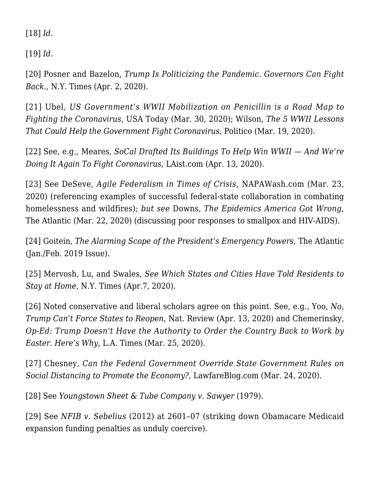[\[18\]](#page--1-0) *Id.*

[\[19\]](#page--1-0) *Id.*

[\[20\]](#page--1-0) Posner and Bazelon, *[Trump Is Politicizing the Pandemic. Governors Can Fight](https://www.nytimes.com/2020/04/02/opinion/governors-states-coronavirus.html) [Back.](https://www.nytimes.com/2020/04/02/opinion/governors-states-coronavirus.html)*, N.Y. Times (Apr. 2, 2020).

[\[21\]](#page--1-0) Ubel, *[US Government's WWII Mobilization on Penicillin is a Road Map to](https://www.usatoday.com/story/opinion/2020/03/30/coronavirus-needs-trump-federal-government-leadership-column/2929154001/) [Fighting the Coronavirus](https://www.usatoday.com/story/opinion/2020/03/30/coronavirus-needs-trump-federal-government-leadership-column/2929154001/)*, USA Today (Mar. 30, 2020); Wilson, *[The 5 WWII Lessons](https://www.politico.com/news/magazine/2020/03/19/coronavirus-defense-production-world-war-two-lessons-135814) [That Could Help the Government Fight Coronavirus](https://www.politico.com/news/magazine/2020/03/19/coronavirus-defense-production-world-war-two-lessons-135814)*, Politico (Mar. 19, 2020).

[\[22\]](#page--1-0) See, e.g., Meares, *[SoCal Drafted Its Buildings To Help Win WWII — And We're](https://laist.com/2020/04/13/how_socal_repurposed_buildings_wwii_coronavirus_wounded_soldiers.php) [Doing It Again To Fight Coronavirus](https://laist.com/2020/04/13/how_socal_repurposed_buildings_wwii_coronavirus_wounded_soldiers.php),* LAist.com (Apr. 13, 2020).

[\[23\]](#page--1-0) See DeSeve, *[Agile Federalism in Times of Crisis](https://www.napawash.org/grandchallenges/blog/agile-federalism-in-times-of-crisis)*, NAPAWash.com (Mar. 23, 2020) (referencing examples of successful federal-state collaboration in combating homelessness and wildfires); *but see* Downs, *[The Epidemics America Got Wrong](https://www.theatlantic.com/ideas/archive/2020/03/role-apathy-epidemics/608527/)*, The Atlantic (Mar. 22, 2020) (discussing poor responses to smallpox and HIV-AIDS).

[\[24\]](#page--1-0) Goitein, *[The Alarming Scope of the President's Emergency Powers](https://www.theatlantic.com/magazine/archive/2019/01/presidential-emergency-powers/576418/)*, The Atlantic (Jan./Feb. 2019 Issue).

[\[25\]](#page--1-0) Mervosh, Lu, and Swales, *[See Which States and Cities Have Told Residents to](https://www.nytimes.com/interactive/2020/us/coronavirus-stay-at-home-order.html) [Stay at Home](https://www.nytimes.com/interactive/2020/us/coronavirus-stay-at-home-order.html)*, N.Y. Times (Apr.7, 2020).

[\[26\]](#page--1-0) Noted conservative and liberal scholars agree on this point. See, e.g., Yoo, *[No,](https://www.nationalreview.com/2020/04/no-trump-cant-force-states-to-reopen/) [Trump Can't Force States to Reopen](https://www.nationalreview.com/2020/04/no-trump-cant-force-states-to-reopen/)*, Nat. Review (Apr. 13, 2020) and Chemerinsky, *[Op-Ed: Trump Doesn't Have the Authority to Order the Country Back to Work by](https://www.latimes.com/opinion/story/2020-03-25/op-ed-trump-doesnt-have-the-authority-to-order-the-country-back-to-work-by-easter-heres-why) [Easter. Here's Why](https://www.latimes.com/opinion/story/2020-03-25/op-ed-trump-doesnt-have-the-authority-to-order-the-country-back-to-work-by-easter-heres-why)*, L.A. Times (Mar. 25, 2020).

[\[27\]](#page--1-0) Chesney[,](https://www.lawfareblog.com/can-federal-government-override-state-government-rules-social-distancing-promote-economy) *[Can the Federal Government Override State Government Rules on](https://www.lawfareblog.com/can-federal-government-override-state-government-rules-social-distancing-promote-economy) [Social Distancing to Promote the Economy?](https://www.lawfareblog.com/can-federal-government-override-state-government-rules-social-distancing-promote-economy)*, LawfareBlog.com (Mar. 24, 2020).

[\[28\]](#page--1-0) See *[Youngstown Sheet & Tube Company v. Sawyer](https://scholar.google.com/scholar_case?case=14460863599772421355&q=343+U.S.+579+&hl=en&as_sdt=2006)* [\(1979\)](https://scholar.google.com/scholar_case?case=14460863599772421355&q=343+U.S.+579+&hl=en&as_sdt=2006).

[\[29\]](#page--1-0) See *[NFIB v. Sebelius](https://scholar.google.com/scholar_case?case=11973730494168859869&q=567+U.S.+519&hl=en&as_sdt=2006)* [\(2012\)](https://scholar.google.com/scholar_case?case=11973730494168859869&q=567+U.S.+519&hl=en&as_sdt=2006) at 2601–07 (striking down Obamacare Medicaid expansion funding penalties as unduly coercive).